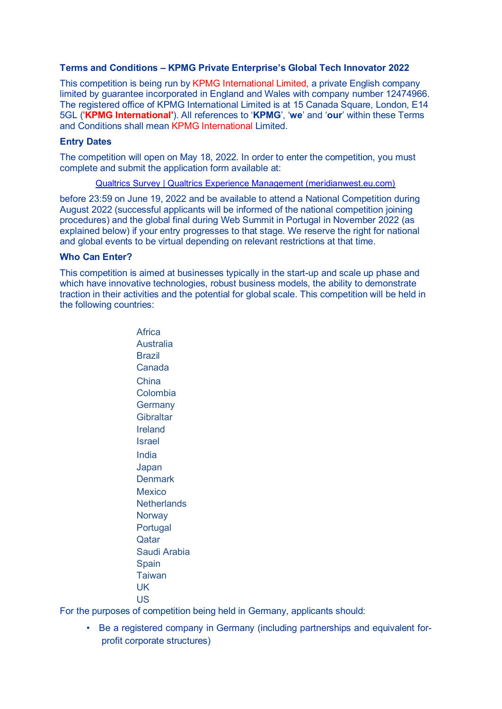# **Terms and Conditions – KPMG Private Enterprise's Global Tech Innovator 2022**

This competition is being run by KPMG International Limited, a private English company limited by guarantee incorporated in England and Wales with company number 12474966. The registered office of KPMG International Limited is at 15 Canada Square, London, E14 5GL ('**KPMG International'**). All references to '**KPMG**', '**we**' and '**our**' within these Terms and Conditions shall mean KPMG International Limited.

# **Entry Dates**

The competition will open on May 18, 2022. In order to enter the competition, you must complete and submit the application form available at:

[Qualtrics Survey | Qualtrics Experience Management \(meridianwest.eu.com\)](https://www.meridianwest.eu.com/jfe/form/SV_bdbdMpeNgxOQUqa)

before 23:59 on June 19, 2022 and be available to attend a National Competition during August 2022 (successful applicants will be informed of the national competition joining procedures) and the global final during Web Summit in Portugal in November 2022 (as explained below) if your entry progresses to that stage. We reserve the right for national and global events to be virtual depending on relevant restrictions at that time.

### **Who Can Enter?**

This competition is aimed at businesses typically in the start-up and scale up phase and which have innovative technologies, robust business models, the ability to demonstrate traction in their activities and the potential for global scale. This competition will be held in the following countries:

> **Africa** Australia Brazil Canada China Colombia **Germany Gibraltar** Ireland Israel India Japan **Denmark** Mexico **Netherlands Norway** Portugal **Qatar** Saudi Arabia Spain **Taiwan** UK US

For the purposes of competition being held in Germany, applicants should:

• Be a registered company in Germany (including partnerships and equivalent forprofit corporate structures)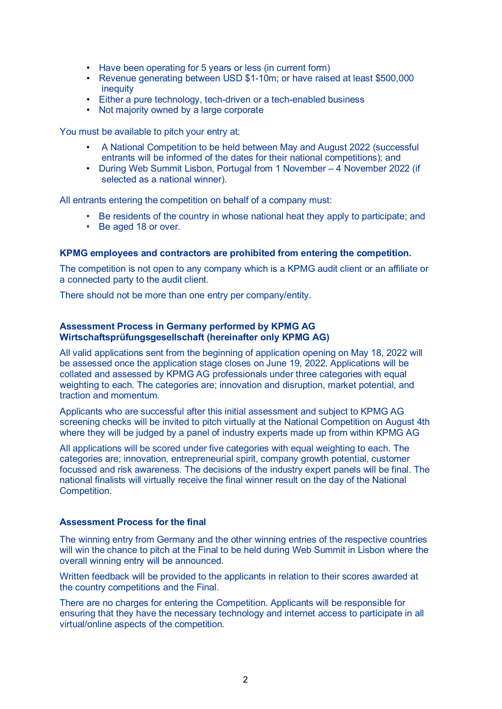- Have been operating for 5 years or less (in current form)
- Revenue generating between USD \$1-10m; or have raised at least \$500,000 inequity
- Either a pure technology, tech-driven or a tech-enabled business
- Not majority owned by a large corporate

You must be available to pitch your entry at:

- A National Competition to be held between May and August 2022 (successful entrants will be informed of the dates for their national competitions); and
- During Web Summit Lisbon, Portugal from 1 November 4 November 2022 (if selected as a national winner).

All entrants entering the competition on behalf of a company must:

- Be residents of the country in whose national heat they apply to participate; and
- Be aged 18 or over.

### **KPMG employees and contractors are prohibited from entering the competition.**

The competition is not open to any company which is a KPMG audit client or an affiliate or a connected party to the audit client.

There should not be more than one entry per company/entity.

### **Assessment Process in Germany performed by KPMG AG Wirtschaftsprüfungsgesellschaft (hereinafter only KPMG AG)**

All valid applications sent from the beginning of application opening on May 18, 2022 will be assessed once the application stage closes on June 19, 2022. Applications will be collated and assessed by KPMG AG professionals under three categories with equal weighting to each. The categories are; innovation and disruption, market potential, and traction and momentum.

Applicants who are successful after this initial assessment and subject to KPMG AG screening checks will be invited to pitch virtually at the National Competition on August 4th where they will be judged by a panel of industry experts made up from within KPMG AG

All applications will be scored under five categories with equal weighting to each. The categories are; innovation, entrepreneurial spirit, company growth potential, customer focussed and risk awareness. The decisions of the industry expert panels will be final. The national finalists will virtually receive the final winner result on the day of the National Competition.

### **Assessment Process for the final**

The winning entry from Germany and the other winning entries of the respective countries will win the chance to pitch at the Final to be held during Web Summit in Lisbon where the overall winning entry will be announced.

Written feedback will be provided to the applicants in relation to their scores awarded at the country competitions and the Final.

There are no charges for entering the Competition. Applicants will be responsible for ensuring that they have the necessary technology and internet access to participate in all virtual/online aspects of the competition.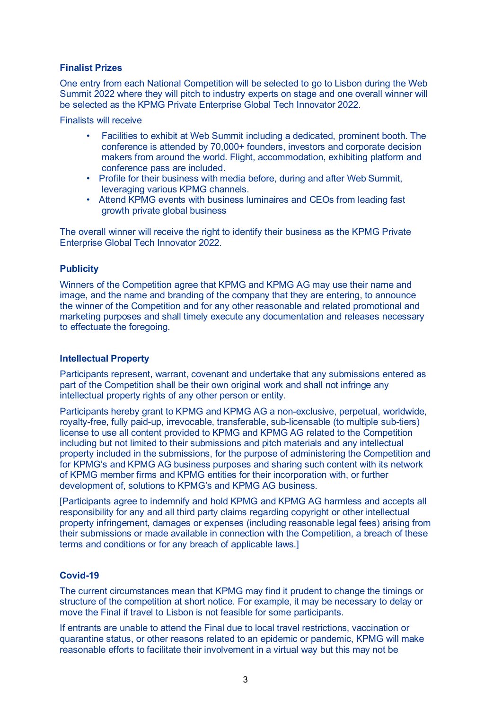# **Finalist Prizes**

One entry from each National Competition will be selected to go to Lisbon during the Web Summit 2022 where they will pitch to industry experts on stage and one overall winner will be selected as the KPMG Private Enterprise Global Tech Innovator 2022.

Finalists will receive

- Facilities to exhibit at Web Summit including a dedicated, prominent booth. The conference is attended by 70,000+ founders, investors and corporate decision makers from around the world. Flight, accommodation, exhibiting platform and conference pass are included.
- Profile for their business with media before, during and after Web Summit, leveraging various KPMG channels.
- Attend KPMG events with business luminaires and CEOs from leading fast growth private global business

The overall winner will receive the right to identify their business as the KPMG Private Enterprise Global Tech Innovator 2022.

# **Publicity**

Winners of the Competition agree that KPMG and KPMG AG may use their name and image, and the name and branding of the company that they are entering, to announce the winner of the Competition and for any other reasonable and related promotional and marketing purposes and shall timely execute any documentation and releases necessary to effectuate the foregoing.

## **Intellectual Property**

Participants represent, warrant, covenant and undertake that any submissions entered as part of the Competition shall be their own original work and shall not infringe any intellectual property rights of any other person or entity.

Participants hereby grant to KPMG and KPMG AG a non-exclusive, perpetual, worldwide, royalty-free, fully paid-up, irrevocable, transferable, sub-licensable (to multiple sub-tiers) license to use all content provided to KPMG and KPMG AG related to the Competition including but not limited to their submissions and pitch materials and any intellectual property included in the submissions, for the purpose of administering the Competition and for KPMG's and KPMG AG business purposes and sharing such content with its network of KPMG member firms and KPMG entities for their incorporation with, or further development of, solutions to KPMG's and KPMG AG business.

[Participants agree to indemnify and hold KPMG and KPMG AG harmless and accepts all responsibility for any and all third party claims regarding copyright or other intellectual property infringement, damages or expenses (including reasonable legal fees) arising from their submissions or made available in connection with the Competition, a breach of these terms and conditions or for any breach of applicable laws.]

# **Covid-19**

The current circumstances mean that KPMG may find it prudent to change the timings or structure of the competition at short notice. For example, it may be necessary to delay or move the Final if travel to Lisbon is not feasible for some participants.

If entrants are unable to attend the Final due to local travel restrictions, vaccination or quarantine status, or other reasons related to an epidemic or pandemic, KPMG will make reasonable efforts to facilitate their involvement in a virtual way but this may not be